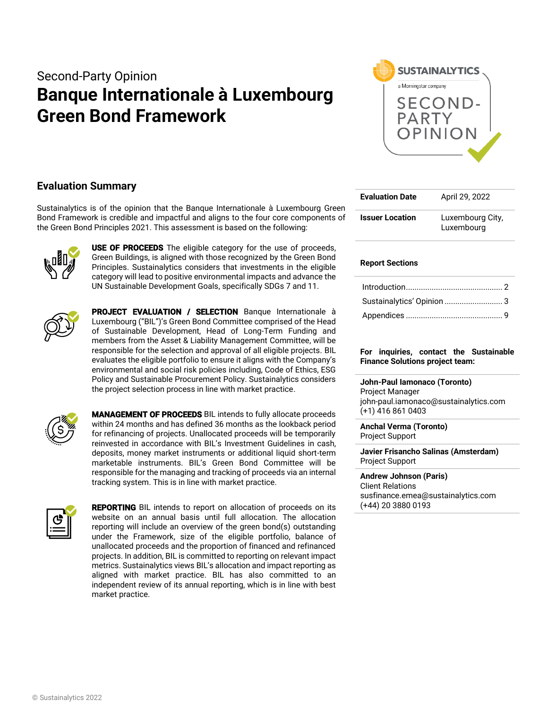# Second-Party Opinion **Banque Internationale à Luxembourg Green Bond Framework**



# **Evaluation Summary**

Sustainalytics is of the opinion that the Banque Internationale à Luxembourg Green Bond Framework is credible and impactful and aligns to the four core components of the Green Bond Principles 2021. This assessment is based on the following:



**USE OF PROCEEDS** The eligible category for the use of proceeds, Green Buildings, is aligned with those recognized by the Green Bond Principles. Sustainalytics considers that investments in the eligible category will lead to positive environmental impacts and advance the UN Sustainable Development Goals, specifically SDGs 7 and 11.



PROJECT EVALUATION / SELECTION Banque Internationale à Luxembourg ("BIL")'s Green Bond Committee comprised of the Head of Sustainable Development, Head of Long-Term Funding and members from the Asset & Liability Management Committee, will be responsible for the selection and approval of all eligible projects. BIL evaluates the eligible portfolio to ensure it aligns with the Company's environmental and social risk policies including, Code of Ethics, ESG Policy and Sustainable Procurement Policy. Sustainalytics considers the project selection process in line with market practice.



MANAGEMENT OF PROCEEDS BIL intends to fully allocate proceeds within 24 months and has defined 36 months as the lookback period for refinancing of projects. Unallocated proceeds will be temporarily reinvested in accordance with BIL's Investment Guidelines in cash, deposits, money market instruments or additional liquid short-term marketable instruments. BIL's Green Bond Committee will be responsible for the managing and tracking of proceeds via an internal tracking system. This is in line with market practice.



REPORTING BIL intends to report on allocation of proceeds on its website on an annual basis until full allocation. The allocation reporting will include an overview of the green bond(s) outstanding under the Framework, size of the eligible portfolio, balance of unallocated proceeds and the proportion of financed and refinanced projects. In addition, BIL is committed to reporting on relevant impact metrics. Sustainalytics views BIL's allocation and impact reporting as aligned with market practice. BIL has also committed to an independent review of its annual reporting, which is in line with best market practice.

| <b>Evaluation Date</b> | April 29, 2022                 |  |  |  |
|------------------------|--------------------------------|--|--|--|
| <b>Issuer Location</b> | Luxembourg City,<br>Luxembourg |  |  |  |

# **Report Sections**

| Sustainalytics' Opinion  3 |  |
|----------------------------|--|
|                            |  |

## **For inquiries, contact the Sustainable Finance Solutions project team:**

**John-Paul Iamonaco (Toronto)** Project Manager john-paul.iamonaco@sustainalytics.com (+1) 416 861 0403

**Anchal Verma (Toronto)** Project Support

**Javier Frisancho Salinas (Amsterdam)** Project Support

**Andrew Johnson (Paris)** Client Relations susfinance.emea@sustainalytics.com (+44) 20 3880 0193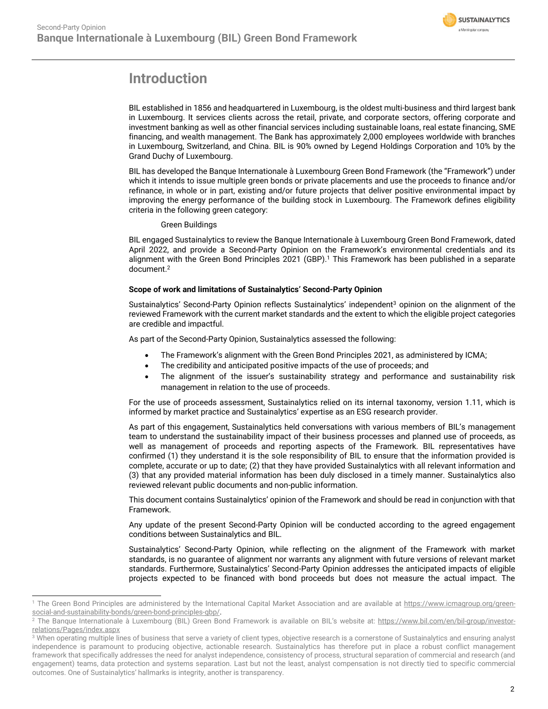

# <span id="page-1-0"></span>**Introduction**

BIL established in 1856 and headquartered in Luxembourg, is the oldest multi-business and third largest bank in Luxembourg. It services clients across the retail, private, and corporate sectors, offering corporate and investment banking as well as other financial services including sustainable loans, real estate financing, SME financing, and wealth management. The Bank has approximately 2,000 employees worldwide with branches in Luxembourg, Switzerland, and China. BIL is 90% owned by Legend Holdings Corporation and 10% by the Grand Duchy of Luxembourg.

BIL has developed the Banque Internationale à Luxembourg Green Bond Framework (the "Framework") under which it intends to issue multiple green bonds or private placements and use the proceeds to finance and/or refinance, in whole or in part, existing and/or future projects that deliver positive environmental impact by improving the energy performance of the building stock in Luxembourg. The Framework defines eligibility criteria in the following green category:

# Green Buildings

BIL engaged Sustainalytics to review the Banque Internationale à Luxembourg Green Bond Framework, dated April 2022, and provide a Second-Party Opinion on the Framework's environmental credentials and its alignment with the Green Bond Principles 2021 (GBP). <sup>1</sup> This Framework has been published in a separate document. 2

# **Scope of work and limitations of Sustainalytics' Second-Party Opinion**

Sustainalytics' Second-Party Opinion reflects Sustainalytics' independent<sup>3</sup> opinion on the alignment of the reviewed Framework with the current market standards and the extent to which the eligible project categories are credible and impactful.

As part of the Second-Party Opinion, Sustainalytics assessed the following:

- The Framework's alignment with the Green Bond Principles 2021, as administered by ICMA;
- The credibility and anticipated positive impacts of the use of proceeds; and
- The alignment of the issuer's sustainability strategy and performance and sustainability risk management in relation to the use of proceeds.

For the use of proceeds assessment, Sustainalytics relied on its internal taxonomy, version 1.11, which is informed by market practice and Sustainalytics' expertise as an ESG research provider.

As part of this engagement, Sustainalytics held conversations with various members of BIL's management team to understand the sustainability impact of their business processes and planned use of proceeds, as well as management of proceeds and reporting aspects of the Framework. BIL representatives have confirmed (1) they understand it is the sole responsibility of BIL to ensure that the information provided is complete, accurate or up to date; (2) that they have provided Sustainalytics with all relevant information and (3) that any provided material information has been duly disclosed in a timely manner. Sustainalytics also reviewed relevant public documents and non-public information.

This document contains Sustainalytics' opinion of the Framework and should be read in conjunction with that Framework.

Any update of the present Second-Party Opinion will be conducted according to the agreed engagement conditions between Sustainalytics and BIL.

Sustainalytics' Second-Party Opinion, while reflecting on the alignment of the Framework with market standards, is no guarantee of alignment nor warrants any alignment with future versions of relevant market standards. Furthermore, Sustainalytics' Second-Party Opinion addresses the anticipated impacts of eligible projects expected to be financed with bond proceeds but does not measure the actual impact. The

<sup>&</sup>lt;sup>1</sup> The Green Bond Principles are administered by the International Capital Market Association and are available at [https://www.icmagroup.org/green](https://www.icmagroup.org/green-social-and-sustainability-bonds/green-bond-principles-gbp/)[social-and-sustainability-bonds/green-bond-principles-gbp/.](https://www.icmagroup.org/green-social-and-sustainability-bonds/green-bond-principles-gbp/)

<sup>&</sup>lt;sup>2</sup> The Banque Internationale à Luxembourg (BIL) Green Bond Framework is available on BIL's website at: [https://www.bil.com/en/bil-group/investor](https://www.bil.com/en/bil-group/investor-relations/Pages/index.aspx)[relations/Pages/index.aspx](https://www.bil.com/en/bil-group/investor-relations/Pages/index.aspx)

<sup>&</sup>lt;sup>3</sup> When operating multiple lines of business that serve a variety of client types, objective research is a cornerstone of Sustainalytics and ensuring analyst independence is paramount to producing objective, actionable research. Sustainalytics has therefore put in place a robust conflict management framework that specifically addresses the need for analyst independence, consistency of process, structural separation of commercial and research (and engagement) teams, data protection and systems separation. Last but not the least, analyst compensation is not directly tied to specific commercial outcomes. One of Sustainalytics' hallmarks is integrity, another is transparency.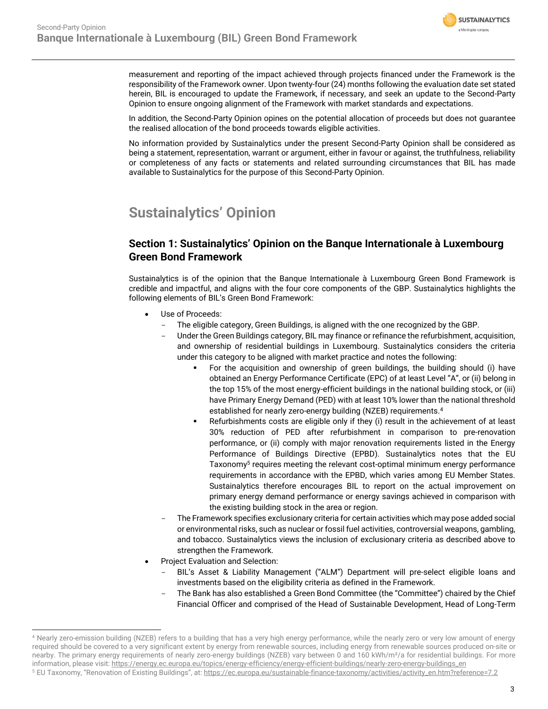

measurement and reporting of the impact achieved through projects financed under the Framework is the responsibility of the Framework owner. Upon twenty-four (24) months following the evaluation date set stated herein, BIL is encouraged to update the Framework, if necessary, and seek an update to the Second-Party Opinion to ensure ongoing alignment of the Framework with market standards and expectations.

In addition, the Second-Party Opinion opines on the potential allocation of proceeds but does not guarantee the realised allocation of the bond proceeds towards eligible activities.

No information provided by Sustainalytics under the present Second-Party Opinion shall be considered as being a statement, representation, warrant or argument, either in favour or against, the truthfulness, reliability or completeness of any facts or statements and related surrounding circumstances that BIL has made available to Sustainalytics for the purpose of this Second-Party Opinion.

# <span id="page-2-0"></span>**Sustainalytics' Opinion**

# **Section 1: Sustainalytics' Opinion on the Banque Internationale à Luxembourg Green Bond Framework**

Sustainalytics is of the opinion that the Banque Internationale à Luxembourg Green Bond Framework is credible and impactful, and aligns with the four core components of the GBP. Sustainalytics highlights the following elements of BIL's Green Bond Framework:

- Use of Proceeds:
	- The eligible category, Green Buildings, is aligned with the one recognized by the GBP.
	- Under the Green Buildings category, BIL may finance or refinance the refurbishment, acquisition, and ownership of residential buildings in Luxembourg. Sustainalytics considers the criteria under this category to be aligned with market practice and notes the following:
		- For the acquisition and ownership of green buildings, the building should (i) have obtained an Energy Performance Certificate (EPC) of at least Level "A", or (ii) belong in the top 15% of the most energy-efficient buildings in the national building stock, or (iii) have Primary Energy Demand (PED) with at least 10% lower than the national threshold established for nearly zero-energy building (NZEB) requirements.<sup>4</sup>
		- **•** Refurbishments costs are eligible only if they (i) result in the achievement of at least 30% reduction of PED after refurbishment in comparison to pre-renovation performance, or (ii) comply with major renovation requirements listed in the Energy Performance of Buildings Directive (EPBD). Sustainalytics notes that the EU Taxonomy<sup>5</sup> requires meeting the relevant cost-optimal minimum energy performance requirements in accordance with the EPBD, which varies among EU Member States. Sustainalytics therefore encourages BIL to report on the actual improvement on primary energy demand performance or energy savings achieved in comparison with the existing building stock in the area or region.
	- The Framework specifies exclusionary criteria for certain activities which may pose added social or environmental risks, such as nuclear or fossil fuel activities, controversial weapons, gambling, and tobacco. Sustainalytics views the inclusion of exclusionary criteria as described above to strengthen the Framework.
- Project Evaluation and Selection:
	- BIL's Asset & Liability Management ("ALM") Department will pre-select eligible loans and investments based on the eligibility criteria as defined in the Framework.
	- The Bank has also established a Green Bond Committee (the "Committee") chaired by the Chief Financial Officer and comprised of the Head of Sustainable Development, Head of Long-Term

<sup>4</sup> Nearly zero-emission building (NZEB) refers to a building that has a very high energy performance, while the nearly zero or very low amount of energy required should be covered to a very significant extent by energy from renewable sources, including energy from renewable sources produced on-site or nearby. The primary energy requirements of nearly zero-energy buildings (NZEB) vary between 0 and 160 kWh/m<sup>2</sup>/a for residential buildings. For more information, please visit[: https://energy.ec.europa.eu/topics/energy-efficiency/energy-efficient-buildings/nearly-zero-energy-buildings\\_en](https://energy.ec.europa.eu/topics/energy-efficiency/energy-efficient-buildings/nearly-zero-energy-buildings_en)

<sup>&</sup>lt;sup>5</sup> EU Taxonomy, "Renovation of Existing Buildings", at: [https://ec.europa.eu/sustainable-finance-taxonomy/activities/activity\\_en.htm?reference=7.2](https://ec.europa.eu/sustainable-finance-taxonomy/activities/activity_en.htm?reference=7.2)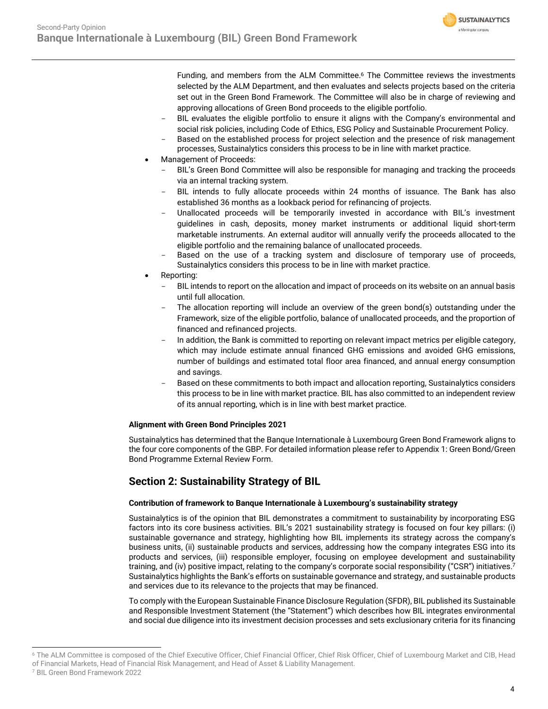**SUSTAINALYTICS** a Morningstar company

Funding, and members from the ALM Committee. <sup>6</sup> The Committee reviews the investments selected by the ALM Department, and then evaluates and selects projects based on the criteria set out in the Green Bond Framework. The Committee will also be in charge of reviewing and approving allocations of Green Bond proceeds to the eligible portfolio.

- BIL evaluates the eligible portfolio to ensure it aligns with the Company's environmental and social risk policies, including Code of Ethics, ESG Policy and Sustainable Procurement Policy.
- Based on the established process for project selection and the presence of risk management processes, Sustainalytics considers this process to be in line with market practice.
- Management of Proceeds:
	- BIL's Green Bond Committee will also be responsible for managing and tracking the proceeds via an internal tracking system.
	- BIL intends to fully allocate proceeds within 24 months of issuance. The Bank has also established 36 months as a lookback period for refinancing of projects.
	- Unallocated proceeds will be temporarily invested in accordance with BIL's investment guidelines in cash, deposits, money market instruments or additional liquid short-term marketable instruments. An external auditor will annually verify the proceeds allocated to the eligible portfolio and the remaining balance of unallocated proceeds.
	- Based on the use of a tracking system and disclosure of temporary use of proceeds, Sustainalytics considers this process to be in line with market practice.
- Reporting:
	- BIL intends to report on the allocation and impact of proceeds on its website on an annual basis until full allocation.
	- The allocation reporting will include an overview of the green bond(s) outstanding under the Framework, size of the eligible portfolio, balance of unallocated proceeds, and the proportion of financed and refinanced projects.
	- In addition, the Bank is committed to reporting on relevant impact metrics per eligible category, which may include estimate annual financed GHG emissions and avoided GHG emissions, number of buildings and estimated total floor area financed, and annual energy consumption and savings.
	- Based on these commitments to both impact and allocation reporting, Sustainalytics considers this process to be in line with market practice. BIL has also committed to an independent review of its annual reporting, which is in line with best market practice.

# **Alignment with Green Bond Principles 2021**

Sustainalytics has determined that the Banque Internationale à Luxembourg Green Bond Framework aligns to the four core components of the GBP. For detailed information please refer to Appendix 1: Green Bond/Green Bond Programme External Review Form.

# **Section 2: Sustainability Strategy of BIL**

# **Contribution of framework to Banque Internationale à Luxembourg's sustainability strategy**

Sustainalytics is of the opinion that BIL demonstrates a commitment to sustainability by incorporating ESG factors into its core business activities. BIL's 2021 sustainability strategy is focused on four key pillars: (i) sustainable governance and strategy, highlighting how BIL implements its strategy across the company's business units, (ii) sustainable products and services, addressing how the company integrates ESG into its products and services, (iii) responsible employer, focusing on employee development and sustainability training, and (iv) positive impact, relating to the company's corporate social responsibility ("CSR") initiatives. 7 Sustainalytics highlights the Bank's efforts on sustainable governance and strategy, and sustainable products and services due to its relevance to the projects that may be financed.

To comply with the European Sustainable Finance Disclosure Regulation (SFDR), BIL published its Sustainable and Responsible Investment Statement (the "Statement") which describes how BIL integrates environmental and social due diligence into its investment decision processes and sets exclusionary criteria for its financing

<sup>&</sup>lt;sup>6</sup> The ALM Committee is composed of the Chief Executive Officer, Chief Financial Officer, Chief Risk Officer, Chief of Luxembourg Market and CIB, Head of Financial Markets, Head of Financial Risk Management, and Head of Asset & Liability Management.

<sup>7</sup> BIL Green Bond Framework 2022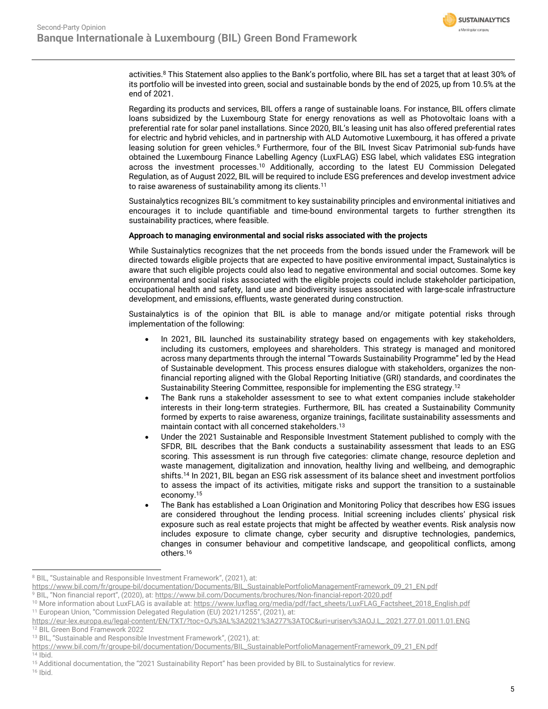

activities. <sup>8</sup> This Statement also applies to the Bank's portfolio, where BIL has set a target that at least 30% of its portfolio will be invested into green, social and sustainable bonds by the end of 2025, up from 10.5% at the end of 2021.

Regarding its products and services, BIL offers a range of sustainable loans. For instance, BIL offers climate loans subsidized by the Luxembourg State for energy renovations as well as Photovoltaic loans with a preferential rate for solar panel installations. Since 2020, BIL's leasing unit has also offered preferential rates for electric and hybrid vehicles, and in partnership with ALD Automotive Luxembourg, it has offered a private leasing solution for green vehicles.<sup>9</sup> Furthermore, four of the BIL Invest Sicav Patrimonial sub-funds have obtained the Luxembourg Finance Labelling Agency (LuxFLAG) ESG label, which validates ESG integration across the investment processes.<sup>10</sup> Additionally, according to the latest EU Commission Delegated Regulation, as of August 2022, BIL will be required to include ESG preferences and develop investment advice to raise awareness of sustainability among its clients.<sup>11</sup>

Sustainalytics recognizes BIL's commitment to key sustainability principles and environmental initiatives and encourages it to include quantifiable and time-bound environmental targets to further strengthen its sustainability practices, where feasible.

## **Approach to managing environmental and social risks associated with the projects**

While Sustainalytics recognizes that the net proceeds from the bonds issued under the Framework will be directed towards eligible projects that are expected to have positive environmental impact, Sustainalytics is aware that such eligible projects could also lead to negative environmental and social outcomes. Some key environmental and social risks associated with the eligible projects could include stakeholder participation, occupational health and safety, land use and biodiversity issues associated with large-scale infrastructure development, and emissions, effluents, waste generated during construction.

Sustainalytics is of the opinion that BIL is able to manage and/or mitigate potential risks through implementation of the following:

- In 2021, BIL launched its sustainability strategy based on engagements with key stakeholders, including its customers, employees and shareholders. This strategy is managed and monitored across many departments through the internal "Towards Sustainability Programme" led by the Head of Sustainable development. This process ensures dialogue with stakeholders, organizes the nonfinancial reporting aligned with the Global Reporting Initiative (GRI) standards, and coordinates the Sustainability Steering Committee, responsible for implementing the ESG strategy. 12
- The Bank runs a stakeholder assessment to see to what extent companies include stakeholder interests in their long-term strategies. Furthermore, BIL has created a Sustainability Community formed by experts to raise awareness, organize trainings, facilitate sustainability assessments and maintain contact with all concerned stakeholders.<sup>13</sup>
- Under the 2021 Sustainable and Responsible Investment Statement published to comply with the SFDR, BIL describes that the Bank conducts a sustainability assessment that leads to an ESG scoring. This assessment is run through five categories: climate change, resource depletion and waste management, digitalization and innovation, healthy living and wellbeing, and demographic shifts.<sup>14</sup> In 2021, BIL began an ESG risk assessment of its balance sheet and investment portfolios to assess the impact of its activities, mitigate risks and support the transition to a sustainable economy.<sup>15</sup>
- The Bank has established a Loan Origination and Monitoring Policy that describes how ESG issues are considered throughout the lending process. Initial screening includes clients' physical risk exposure such as real estate projects that might be affected by weather events. Risk analysis now includes exposure to climate change, cyber security and disruptive technologies, pandemics, changes in consumer behaviour and competitive landscape, and geopolitical conflicts, among others.<sup>16</sup>

 $14$  Ibid.

 $16$  Ihid.

<sup>8</sup> BIL, "Sustainable and Responsible Investment Framework", (2021), at:

[https://www.bil.com/fr/groupe-bil/documentation/Documents/BIL\\_SustainablePortfolioManagementFramework\\_09\\_21\\_EN.pdf](https://www.bil.com/fr/groupe-bil/documentation/Documents/BIL_SustainablePortfolioManagementFramework_09_21_EN.pdf)

<sup>9</sup> BIL, "Non financial report", (2020), at: <https://www.bil.com/Documents/brochures/Non-financial-report-2020.pdf>

<sup>&</sup>lt;sup>10</sup> More information about LuxFLAG is available at[: https://www.luxflag.org/media/pdf/fact\\_sheets/LuxFLAG\\_Factsheet\\_2018\\_English.pdf](https://www.luxflag.org/media/pdf/fact_sheets/LuxFLAG_Factsheet_2018_English.pdf) <sup>11</sup> European Union, "Commission Delegated Regulation (EU) 2021/1255", (2021), at:

[https://eur-lex.europa.eu/legal-content/EN/TXT/?toc=OJ%3AL%3A2021%3A277%3ATOC&uri=uriserv%3AOJ.L\\_.2021.277.01.0011.01.ENG](https://eur-lex.europa.eu/legal-content/EN/TXT/?toc=OJ%3AL%3A2021%3A277%3ATOC&uri=uriserv%3AOJ.L_.2021.277.01.0011.01.ENG) <sup>12</sup> BIL Green Bond Framework 2022

<sup>13</sup> BIL, "Sustainable and Responsible Investment Framework", (2021), at:

[https://www.bil.com/fr/groupe-bil/documentation/Documents/BIL\\_SustainablePortfolioManagementFramework\\_09\\_21\\_EN.pdf](https://www.bil.com/fr/groupe-bil/documentation/Documents/BIL_SustainablePortfolioManagementFramework_09_21_EN.pdf)

<sup>&</sup>lt;sup>15</sup> Additional documentation, the "2021 Sustainability Report" has been provided by BIL to Sustainalytics for review.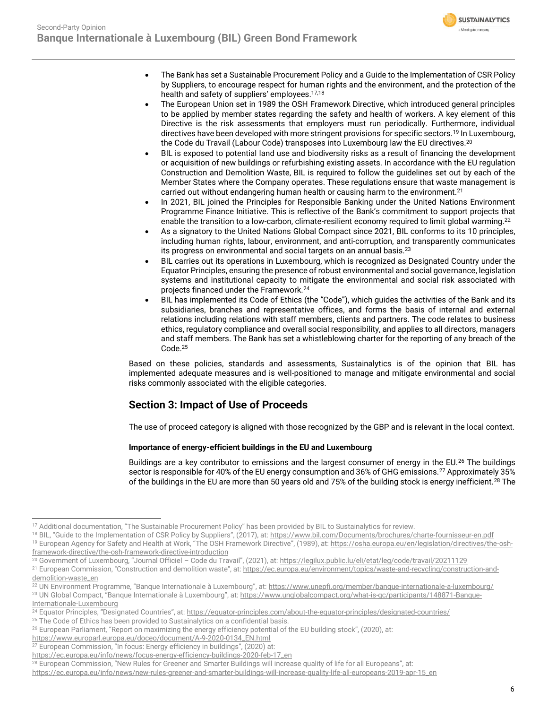

- The Bank has set a Sustainable Procurement Policy and a Guide to the Implementation of CSR Policy by Suppliers, to encourage respect for human rights and the environment, and the protection of the health and safety of suppliers' employees.17,18
- The European Union set in 1989 the OSH Framework Directive, which introduced general principles to be applied by member states regarding the safety and health of workers. A key element of this Directive is the risk assessments that employers must run periodically. Furthermore, individual directives have been developed with more stringent provisions for specific sectors.<sup>19</sup> In Luxembourg, the Code du Travail (Labour Code) transposes into Luxembourg law the EU directives.<sup>20</sup>
- BIL is exposed to potential land use and biodiversity risks as a result of financing the development or acquisition of new buildings or refurbishing existing assets. In accordance with the EU regulation Construction and Demolition Waste, BIL is required to follow the guidelines set out by each of the Member States where the Company operates. These regulations ensure that waste management is carried out without endangering human health or causing harm to the environment.<sup>21</sup>
- In 2021, BIL joined the Principles for Responsible Banking under the United Nations Environment Programme Finance Initiative. This is reflective of the Bank's commitment to support projects that enable the transition to a low-carbon, climate-resilient economy required to limit global warming. $^{22}$
- As a signatory to the United Nations Global Compact since 2021, BIL conforms to its 10 principles, including human rights, labour, environment, and anti-corruption, and transparently communicates its progress on environmental and social targets on an annual basis.<sup>23</sup>
- BIL carries out its operations in Luxembourg, which is recognized as Designated Country under the Equator Principles, ensuring the presence of robust environmental and social governance, legislation systems and institutional capacity to mitigate the environmental and social risk associated with projects financed under the Framework.<sup>24</sup>
- BIL has implemented its Code of Ethics (the "Code"), which guides the activities of the Bank and its subsidiaries, branches and representative offices, and forms the basis of internal and external relations including relations with staff members, clients and partners. The code relates to business ethics, regulatory compliance and overall social responsibility, and applies to all directors, managers and staff members. The Bank has set a whistleblowing charter for the reporting of any breach of the Code. 25

Based on these policies, standards and assessments, Sustainalytics is of the opinion that BIL has implemented adequate measures and is well-positioned to manage and mitigate environmental and social risks commonly associated with the eligible categories.

# **Section 3: Impact of Use of Proceeds**

The use of proceed category is aligned with those recognized by the GBP and is relevant in the local context.

# **Importance of energy-efficient buildings in the EU and Luxembourg**

Buildings are a key contributor to emissions and the largest consumer of energy in the EU.<sup>26</sup> The buildings sector is responsible for 40% of the EU energy consumption and 36% of GHG emissions.<sup>27</sup> Approximately 35% of the buildings in the EU are more than 50 years old and 75% of the building stock is energy inefficient.<sup>28</sup> The

[https://www.europarl.europa.eu/doceo/document/A-9-2020-0134\\_EN.html](https://www.europarl.europa.eu/doceo/document/A-9-2020-0134_EN.html) 

<sup>17</sup> Additional documentation, "The Sustainable Procurement Policy" has been provided by BIL to Sustainalytics for review.

<sup>&</sup>lt;sup>18</sup> BIL, "Guide to the Implementation of CSR Policy by Suppliers", (2017), at: <https://www.bil.com/Documents/brochures/charte-fournisseur-en.pdf> <sup>19</sup> European Agency for Safety and Health at Work, "The OSH Framework Directive", (1989), at: [https://osha.europa.eu/en/legislation/directives/the-osh-](https://osha.europa.eu/en/legislation/directives/the-osh-framework-directive/the-osh-framework-directive-introduction)

[framework-directive/the-osh-framework-directive-introduction](https://osha.europa.eu/en/legislation/directives/the-osh-framework-directive/the-osh-framework-directive-introduction)

<sup>20</sup> Government of Luxembourg, "Journal Officiel – Code du Travail", (2021), at: <https://legilux.public.lu/eli/etat/leg/code/travail/20211129>

<sup>&</sup>lt;sup>21</sup> European Commission, "Construction and demolition waste", at[: https://ec.europa.eu/environment/topics/waste-and-recycling/construction-and](https://ec.europa.eu/environment/topics/waste-and-recycling/construction-and-demolition-waste_en)[demolition-waste\\_en](https://ec.europa.eu/environment/topics/waste-and-recycling/construction-and-demolition-waste_en)

<sup>&</sup>lt;sup>22</sup> UN Environment Programme, "Banque Internationale à Luxembourg", at: <https://www.unepfi.org/member/banque-internationale-a-luxembourg/> <sup>23</sup> UN Global Compact, "Banque Internationale à Luxembourg", at: [https://www.unglobalcompact.org/what-is-gc/participants/148871-Banque-](https://www.unglobalcompact.org/what-is-gc/participants/148871-Banque-Internationale-Luxembourg)

[Internationale-Luxembourg](https://www.unglobalcompact.org/what-is-gc/participants/148871-Banque-Internationale-Luxembourg)

<sup>&</sup>lt;sup>24</sup> Equator Principles, "Designated Countries", at: <https://equator-principles.com/about-the-equator-principles/designated-countries/>

<sup>&</sup>lt;sup>25</sup> The Code of Ethics has been provided to Sustainalytics on a confidential basis.

<sup>26</sup> European Parliament, "Report on maximizing the energy efficiency potential of the EU building stock", (2020), at:

<sup>&</sup>lt;sup>27</sup> European Commission, "In focus: Energy efficiency in buildings", (2020) at:

[https://ec.europa.eu/info/news/focus-energy-efficiency-buildings-2020-feb-17\\_en](https://ec.europa.eu/info/news/focus-energy-efficiency-buildings-2020-feb-17_en)

<sup>&</sup>lt;sup>28</sup> European Commission, "New Rules for Greener and Smarter Buildings will increase quality of life for all Europeans", at:

[https://ec.europa.eu/info/news/new-rules-greener-and-smarter-buildings-will-increase-quality-life-all-europeans-2019-apr-15\\_en](https://ec.europa.eu/info/news/new-rules-greener-and-smarter-buildings-will-increase-quality-life-all-europeans-2019-apr-15_en)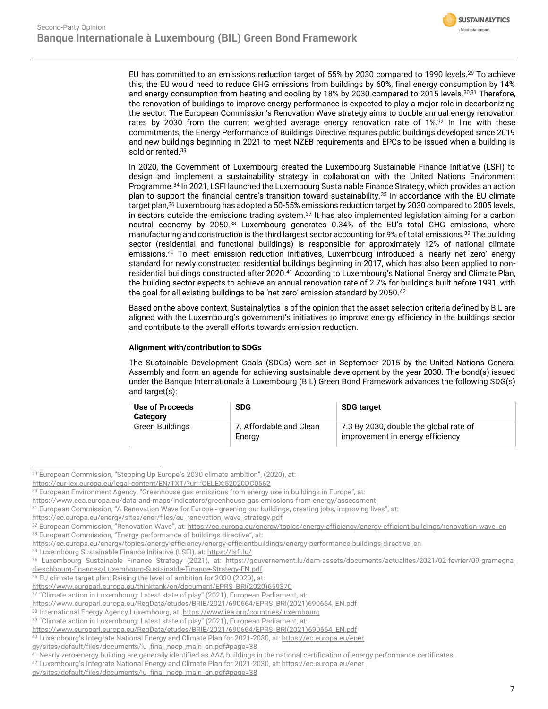

EU has committed to an emissions reduction target of 55% by 2030 compared to 1990 levels.<sup>29</sup> To achieve this, the EU would need to reduce GHG emissions from buildings by 60%, final energy consumption by 14% and energy consumption from heating and cooling by 18% by 2030 compared to 2015 levels.<sup>30,31</sup> Therefore, the renovation of buildings to improve energy performance is expected to play a major role in decarbonizing the sector. The European Commission's Renovation Wave strategy aims to double annual energy renovation rates by 2030 from the current weighted average energy renovation rate of 1%.<sup>32</sup> In line with these commitments, the Energy Performance of Buildings Directive requires public buildings developed since 2019 and new buildings beginning in 2021 to meet NZEB requirements and EPCs to be issued when a building is sold or rented.<sup>33</sup>

In 2020, the Government of Luxembourg created the Luxembourg Sustainable Finance Initiative (LSFI) to design and implement a sustainability strategy in collaboration with the United Nations Environment Programme.<sup>34</sup> In 2021, LSFI launched the Luxembourg Sustainable Finance Strategy, which provides an action plan to support the financial centre's transition toward sustainability.<sup>35</sup> In accordance with the EU climate target plan,<sup>36</sup> Luxembourg has adopted a 50-55% emissions reduction target by 2030 compared to 2005 levels, in sectors outside the emissions trading system. $37$  It has also implemented legislation aiming for a carbon neutral economy by 2050.<sup>38</sup> Luxembourg generates 0.34% of the EU's total GHG emissions, where manufacturing and construction is the third largest sector accounting for 9% of total emissions.<sup>39</sup> The building sector (residential and functional buildings) is responsible for approximately 12% of national climate emissions.<sup>40</sup> To meet emission reduction initiatives, Luxembourg introduced a 'nearly net zero' energy standard for newly constructed residential buildings beginning in 2017, which has also been applied to nonresidential buildings constructed after 2020.<sup>41</sup> According to Luxembourg's National Energy and Climate Plan, the building sector expects to achieve an annual renovation rate of 2.7% for buildings built before 1991, with the goal for all existing buildings to be 'net zero' emission standard by 2050.<sup>42</sup>

Based on the above context, Sustainalytics is of the opinion that the asset selection criteria defined by BIL are aligned with the Luxembourg's government's initiatives to improve energy efficiency in the buildings sector and contribute to the overall efforts towards emission reduction.

# **Alignment with/contribution to SDGs**

The Sustainable Development Goals (SDGs) were set in September 2015 by the United Nations General Assembly and form an agenda for achieving sustainable development by the year 2030. The bond(s) issued under the Banque Internationale à Luxembourg (BIL) Green Bond Framework advances the following SDG(s) and target(s):

| Use of Proceeds<br>Category | <b>SDG</b>                        | <b>SDG target</b>                                                          |
|-----------------------------|-----------------------------------|----------------------------------------------------------------------------|
| Green Buildings             | 7. Affordable and Clean<br>Energy | 7.3 By 2030, double the global rate of<br>improvement in energy efficiency |

<sup>&</sup>lt;sup>29</sup> European Commission, "Stepping Up Europe's 2030 climate ambition", (2020), at:

<https://eur-lex.europa.eu/legal-content/EN/TXT/?uri=CELEX:52020DC0562>

<sup>&</sup>lt;sup>30</sup> European Environment Agency, "Greenhouse gas emissions from energy use in buildings in Europe", at:

<https://www.eea.europa.eu/data-and-maps/indicators/greenhouse-gas-emissions-from-energy/assessment>

<sup>&</sup>lt;sup>31</sup> European Commission, "A Renovation Wave for Europe - greening our buildings, creating jobs, improving lives", at:

[https://ec.europa.eu/energy/sites/ener/files/eu\\_renovation\\_wave\\_strategy.pdf](https://ec.europa.eu/energy/sites/ener/files/eu_renovation_wave_strategy.pdf)

<sup>32</sup> European Commission, "Renovation Wave", at[: https://ec.europa.eu/energy/topics/energy-efficiency/energy-efficient-buildings/renovation-wave\\_en](https://ec.europa.eu/energy/topics/energy-efficiency/energy-efficient-buildings/renovation-wave_en) 33 European Commission, "Energy performance of buildings directive", at:

[https://ec.europa.eu/energy/topics/energy-efficiency/energy-efficientbuildings/energy-performance-buildings-directive\\_en](https://ec.europa.eu/energy/topics/energy-efficiency/energy-efficientbuildings/energy-performance-buildings-directive_en)

<sup>34</sup> Luxembourg Sustainable Finance Initiative (LSFI), at[: https://lsfi.lu/](https://lsfi.lu/)

<sup>35</sup> Luxembourg Sustainable Finance Strategy (2021), at: [https://gouvernement.lu/dam-assets/documents/actualites/2021/02-fevrier/09-gramegna](https://gouvernement.lu/dam-assets/documents/actualites/2021/02-fevrier/09-gramegna-dieschbourg-finances/Luxembourg-Sustainable-Finance-Strategy-EN.pdf)[dieschbourg-finances/Luxembourg-Sustainable-Finance-Strategy-EN.pdf](https://gouvernement.lu/dam-assets/documents/actualites/2021/02-fevrier/09-gramegna-dieschbourg-finances/Luxembourg-Sustainable-Finance-Strategy-EN.pdf)

<sup>&</sup>lt;sup>36</sup> EU climate target plan: Raising the level of ambition for 2030 (2020), at:

[https://www.europarl.europa.eu/thinktank/en/document/EPRS\\_BRI\(2020\)659370](https://www.europarl.europa.eu/thinktank/en/document/EPRS_BRI(2020)659370)

<sup>&</sup>lt;sup>37</sup> "Climate action in Luxembourg: Latest state of play" (2021), European Parliament, at:

[https://www.europarl.europa.eu/RegData/etudes/BRIE/2021/690664/EPRS\\_BRI\(2021\)690664\\_EN.pdf](https://www.europarl.europa.eu/RegData/etudes/BRIE/2021/690664/EPRS_BRI(2021)690664_EN.pdf)

<sup>38</sup> International Energy Agency Luxembourg, at[: https://www.iea.org/countries/luxembourg](https://www.iea.org/countries/luxembourg)

<sup>&</sup>lt;sup>39</sup> "Climate action in Luxembourg: Latest state of play" (2021), European Parliament, at:

[https://www.europarl.europa.eu/RegData/etudes/BRIE/2021/690664/EPRS\\_BRI\(2021\)690664\\_EN.pdf](https://www.europarl.europa.eu/RegData/etudes/BRIE/2021/690664/EPRS_BRI(2021)690664_EN.pdf)

<sup>40</sup> Luxembourg's Integrate National Energy and Climate Plan for 2021-2030, at: https://ec.europa.eu/ener

[gy/sites/default/files/documents/lu\\_final\\_necp\\_main\\_en.pdf#page=38](https://ec.europa.eu/ener%20gy/sites/default/files/documents/lu_final_necp_main_en.pdf#page=38)

Nearly zero-energy building are generally identified as AAA buildings in the national certification of energy performance certificates.

<sup>42</sup> Luxembourg's Integrate National Energy and Climate Plan for 2021-2030, at[: https://ec.europa.eu/ener](https://ec.europa.eu/ener%20gy/sites/default/files/documents/lu_final_necp_main_en.pdf#page=38) 

[gy/sites/default/files/documents/lu\\_final\\_necp\\_main\\_en.pdf#page=38](https://ec.europa.eu/ener%20gy/sites/default/files/documents/lu_final_necp_main_en.pdf#page=38)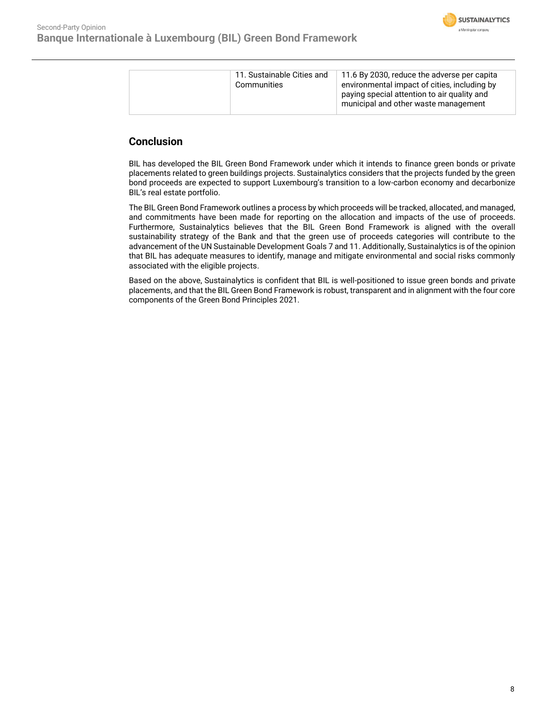

|  | 11. Sustainable Cities and<br>Communities | 11.6 By 2030, reduce the adverse per capita<br>environmental impact of cities, including by<br>paying special attention to air quality and<br>municipal and other waste management |
|--|-------------------------------------------|------------------------------------------------------------------------------------------------------------------------------------------------------------------------------------|
|--|-------------------------------------------|------------------------------------------------------------------------------------------------------------------------------------------------------------------------------------|

# **Conclusion**

BIL has developed the BIL Green Bond Framework under which it intends to finance green bonds or private placements related to green buildings projects. Sustainalytics considers that the projects funded by the green bond proceeds are expected to support Luxembourg's transition to a low-carbon economy and decarbonize BIL's real estate portfolio.

The BIL Green Bond Framework outlines a process by which proceeds will be tracked, allocated, and managed, and commitments have been made for reporting on the allocation and impacts of the use of proceeds. Furthermore, Sustainalytics believes that the BIL Green Bond Framework is aligned with the overall sustainability strategy of the Bank and that the green use of proceeds categories will contribute to the advancement of the UN Sustainable Development Goals 7 and 11. Additionally, Sustainalytics is of the opinion that BIL has adequate measures to identify, manage and mitigate environmental and social risks commonly associated with the eligible projects.

Based on the above, Sustainalytics is confident that BIL is well-positioned to issue green bonds and private placements, and that the BIL Green Bond Framework is robust, transparent and in alignment with the four core components of the Green Bond Principles 2021.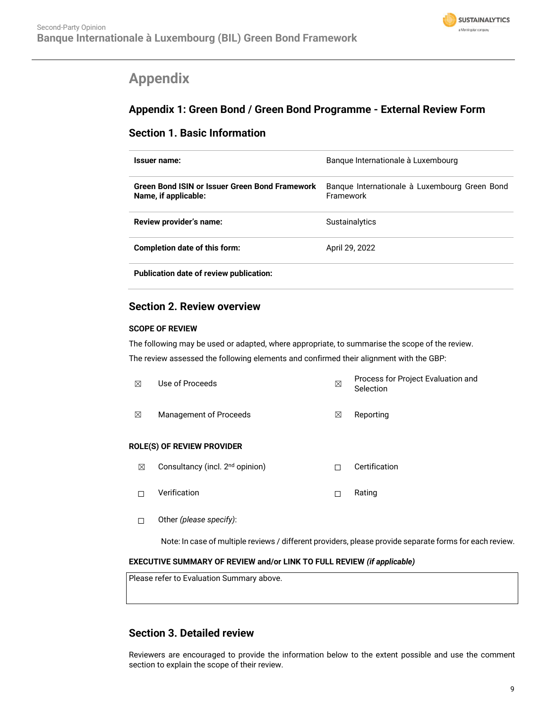

# <span id="page-8-0"></span>**Appendix**

# **Appendix 1: Green Bond / Green Bond Programme - External Review Form**

# **Section 1. Basic Information**

| Issuer name:                                                           | Banque Internationale à Luxembourg                         |
|------------------------------------------------------------------------|------------------------------------------------------------|
| Green Bond ISIN or Issuer Green Bond Framework<br>Name, if applicable: | Banque Internationale à Luxembourg Green Bond<br>Framework |
| Review provider's name:                                                | <b>Sustainalytics</b>                                      |
| Completion date of this form:                                          | April 29, 2022                                             |
|                                                                        |                                                            |

**Publication date of review publication:**

# **Section 2. Review overview**

# **SCOPE OF REVIEW**

The following may be used or adapted, where appropriate, to summarise the scope of the review. The review assessed the following elements and confirmed their alignment with the GBP:

| ⊠ | Use of Proceeds                             | ⊠ | Process for Project Evaluation and<br>Selection |
|---|---------------------------------------------|---|-------------------------------------------------|
| ⊠ | Management of Proceeds                      | ⊠ | Reporting                                       |
|   | ROLE(S) OF REVIEW PROVIDER                  |   |                                                 |
| ⊠ | Consultancy (incl. 2 <sup>nd</sup> opinion) | П | Certification                                   |
| П | Verification                                | П | Rating                                          |
|   |                                             |   |                                                 |

☐ Other *(please specify)*:

Note: In case of multiple reviews / different providers, please provide separate forms for each review.

# **EXECUTIVE SUMMARY OF REVIEW and/or LINK TO FULL REVIEW** *(if applicable)*

Please refer to Evaluation Summary above.

# **Section 3. Detailed review**

Reviewers are encouraged to provide the information below to the extent possible and use the comment section to explain the scope of their review.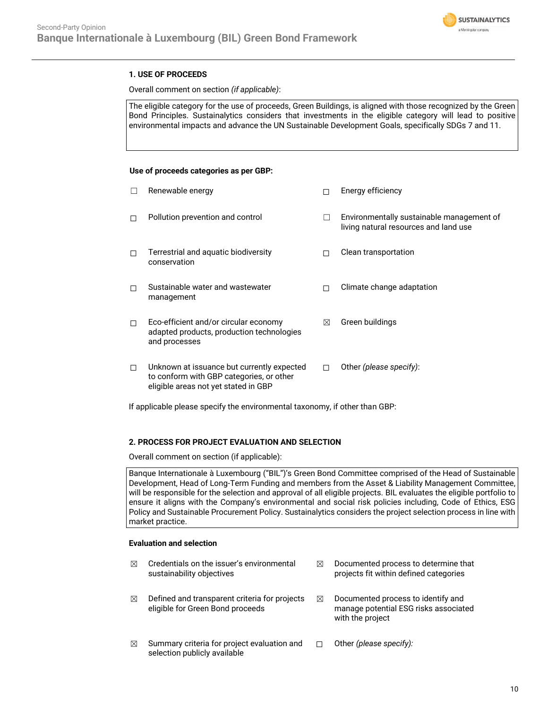

# **1. USE OF PROCEEDS**

Overall comment on section *(if applicable)*:

The eligible category for the use of proceeds, Green Buildings, is aligned with those recognized by the Green Bond Principles. Sustainalytics considers that investments in the eligible category will lead to positive environmental impacts and advance the UN Sustainable Development Goals, specifically SDGs 7 and 11.

## **Use of proceeds categories as per GBP:**

|   | Renewable energy                                                                                                               |   | Energy efficiency                                                                  |
|---|--------------------------------------------------------------------------------------------------------------------------------|---|------------------------------------------------------------------------------------|
| П | Pollution prevention and control                                                                                               |   | Environmentally sustainable management of<br>living natural resources and land use |
| п | Terrestrial and aquatic biodiversity<br>conservation                                                                           |   | Clean transportation                                                               |
| П | Sustainable water and wastewater<br>management                                                                                 |   | Climate change adaptation                                                          |
| П | Eco-efficient and/or circular economy<br>adapted products, production technologies<br>and processes                            | ⊠ | Green buildings                                                                    |
| □ | Unknown at issuance but currently expected<br>to conform with GBP categories, or other<br>eligible areas not yet stated in GBP |   | Other (please specify):                                                            |

If applicable please specify the environmental taxonomy, if other than GBP:

## **2. PROCESS FOR PROJECT EVALUATION AND SELECTION**

Overall comment on section (if applicable):

Banque Internationale à Luxembourg ("BIL")'s Green Bond Committee comprised of the Head of Sustainable Development, Head of Long-Term Funding and members from the Asset & Liability Management Committee, will be responsible for the selection and approval of all eligible projects. BIL evaluates the eligible portfolio to ensure it aligns with the Company's environmental and social risk policies including, Code of Ethics, ESG Policy and Sustainable Procurement Policy. Sustainalytics considers the project selection process in line with market practice.

## **Evaluation and selection**

| ⊠ | Credentials on the issuer's environmental<br>sustainability objectives            | ⊠ | Documented process to determine that<br>projects fit within defined categories                  |
|---|-----------------------------------------------------------------------------------|---|-------------------------------------------------------------------------------------------------|
| ⊠ | Defined and transparent criteria for projects<br>eligible for Green Bond proceeds | ⊠ | Documented process to identify and<br>manage potential ESG risks associated<br>with the project |
| ⊠ | Summary criteria for project evaluation and<br>selection publicly available       |   | Other (please specify):                                                                         |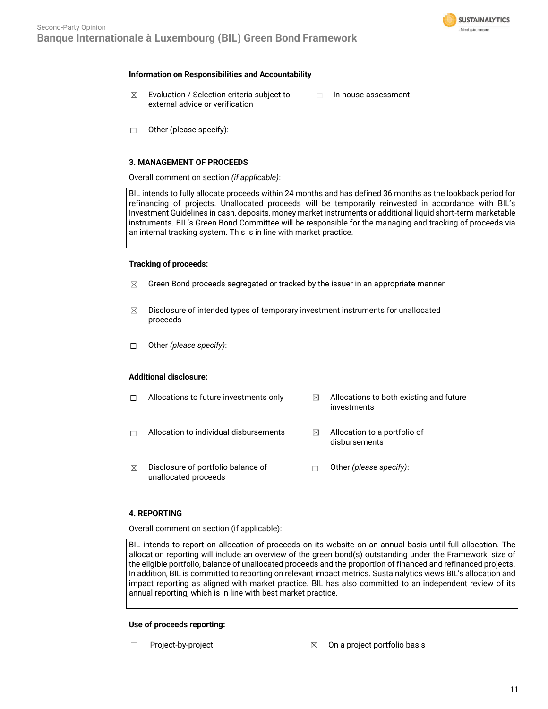

#### **Information on Responsibilities and Accountability**

- $\boxtimes$  Evaluation / Selection criteria subject to external advice or verification
- ☐ In-house assessment

 $\Box$  Other (please specify):

## **3. MANAGEMENT OF PROCEEDS**

Overall comment on section *(if applicable)*:

BIL intends to fully allocate proceeds within 24 months and has defined 36 months as the lookback period for refinancing of projects. Unallocated proceeds will be temporarily reinvested in accordance with BIL's Investment Guidelines in cash, deposits, money market instruments or additional liquid short-term marketable instruments. BIL's Green Bond Committee will be responsible for the managing and tracking of proceeds via an internal tracking system. This is in line with market practice.

## **Tracking of proceeds:**

- $\boxtimes$  Green Bond proceeds segregated or tracked by the issuer in an appropriate manner
- $\boxtimes$  Disclosure of intended types of temporary investment instruments for unallocated proceeds
- ☐ Other *(please specify)*:

## **Additional disclosure:**

|   | Allocations to future investments only                     | ⊠ | Allocations to both existing and future<br>investments |
|---|------------------------------------------------------------|---|--------------------------------------------------------|
|   | Allocation to individual disbursements                     | ⋈ | Allocation to a portfolio of<br>disbursements          |
| ⊠ | Disclosure of portfolio balance of<br>unallocated proceeds |   | Other (please specify):                                |

### **4. REPORTING**

Overall comment on section (if applicable):

BIL intends to report on allocation of proceeds on its website on an annual basis until full allocation. The allocation reporting will include an overview of the green bond(s) outstanding under the Framework, size of the eligible portfolio, balance of unallocated proceeds and the proportion of financed and refinanced projects. In addition, BIL is committed to reporting on relevant impact metrics. Sustainalytics views BIL's allocation and impact reporting as aligned with market practice. BIL has also committed to an independent review of its annual reporting, which is in line with best market practice.

#### **Use of proceeds reporting:**

- 
- ☐ Project-by-project ☒ On a project portfolio basis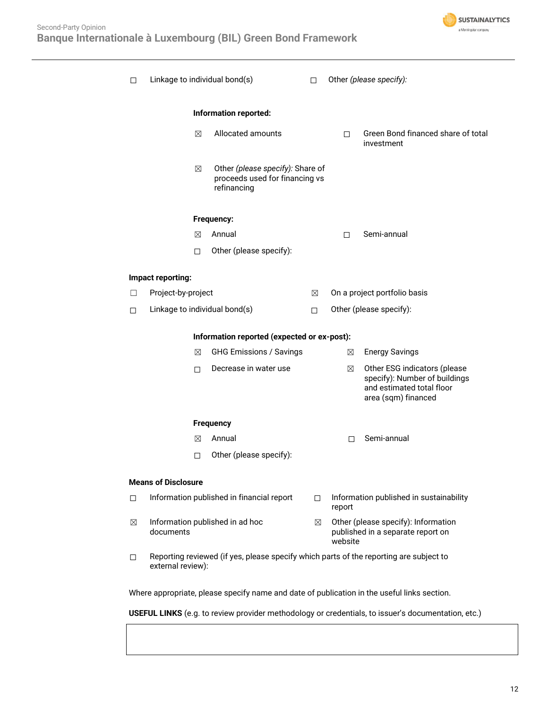

| □                                           | Linkage to individual bond(s) |                                                                                        | П.     |         | Other (please specify):                                                           |  |
|---------------------------------------------|-------------------------------|----------------------------------------------------------------------------------------|--------|---------|-----------------------------------------------------------------------------------|--|
|                                             |                               | Information reported:                                                                  |        |         |                                                                                   |  |
|                                             | ⊠                             | Allocated amounts                                                                      |        | П.      | Green Bond financed share of total<br>investment                                  |  |
|                                             | ⊠                             | Other (please specify): Share of<br>proceeds used for financing vs<br>refinancing      |        |         |                                                                                   |  |
|                                             |                               | Frequency:                                                                             |        |         |                                                                                   |  |
|                                             | ⊠                             | Annual                                                                                 |        | П       | Semi-annual                                                                       |  |
|                                             | п                             | Other (please specify):                                                                |        |         |                                                                                   |  |
|                                             | Impact reporting:             |                                                                                        |        |         |                                                                                   |  |
| □                                           | Project-by-project            |                                                                                        | ⊠      |         | On a project portfolio basis                                                      |  |
| □                                           | Linkage to individual bond(s) |                                                                                        | П.     |         | Other (please specify):                                                           |  |
| Information reported (expected or ex-post): |                               |                                                                                        |        |         |                                                                                   |  |
|                                             | ⊠                             | <b>GHG Emissions / Savings</b>                                                         |        | ⊠       | <b>Energy Savings</b>                                                             |  |
|                                             | п                             | Decrease in water use                                                                  |        | ⊠       | Other ESG indicators (please                                                      |  |
|                                             |                               |                                                                                        |        |         | specify): Number of buildings<br>and estimated total floor<br>area (sqm) financed |  |
|                                             |                               | <b>Frequency</b>                                                                       |        |         |                                                                                   |  |
|                                             | ⊠                             | Annual                                                                                 |        | П       | Semi-annual                                                                       |  |
|                                             | 0                             | Other (please specify):                                                                |        |         |                                                                                   |  |
|                                             | <b>Means of Disclosure</b>    |                                                                                        |        |         |                                                                                   |  |
| □                                           |                               | Information published in financial report                                              | $\Box$ |         | Information published in sustainability                                           |  |
|                                             |                               |                                                                                        |        | report  |                                                                                   |  |
| $\boxtimes$                                 | documents                     | Information published in ad hoc                                                        | ⊠      | website | Other (please specify): Information<br>published in a separate report on          |  |
| $\Box$                                      | external review):             | Reporting reviewed (if yes, please specify which parts of the reporting are subject to |        |         |                                                                                   |  |

Where appropriate, please specify name and date of publication in the useful links section.

**USEFUL LINKS** (e.g. to review provider methodology or credentials, to issuer's documentation, etc.)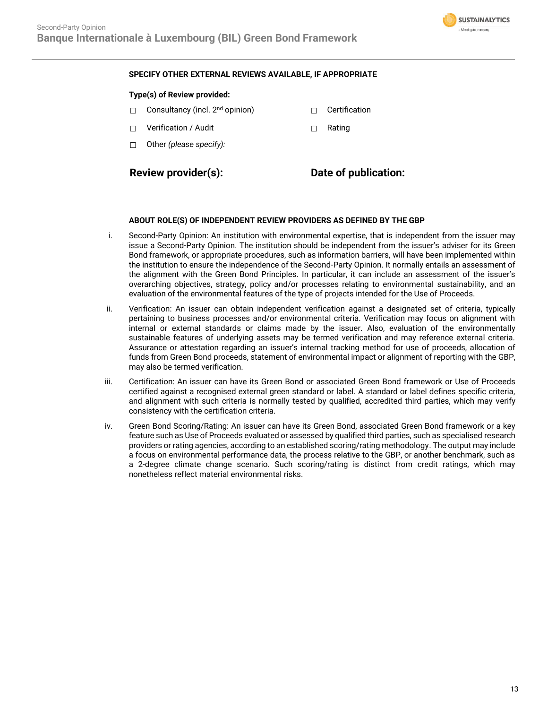

# **SPECIFY OTHER EXTERNAL REVIEWS AVAILABLE, IF APPROPRIATE**

## **Type(s) of Review provided:**

- □ Consultancy (incl. 2<sup>nd</sup> opinion) □ □ Certification
- ☐ Verification / Audit ☐ Rating
- ☐ Other *(please specify):*

**Review provider(s): Date of publication:**

## **ABOUT ROLE(S) OF INDEPENDENT REVIEW PROVIDERS AS DEFINED BY THE GBP**

- i. Second-Party Opinion: An institution with environmental expertise, that is independent from the issuer may issue a Second-Party Opinion. The institution should be independent from the issuer's adviser for its Green Bond framework, or appropriate procedures, such as information barriers, will have been implemented within the institution to ensure the independence of the Second-Party Opinion. It normally entails an assessment of the alignment with the Green Bond Principles. In particular, it can include an assessment of the issuer's overarching objectives, strategy, policy and/or processes relating to environmental sustainability, and an evaluation of the environmental features of the type of projects intended for the Use of Proceeds.
- ii. Verification: An issuer can obtain independent verification against a designated set of criteria, typically pertaining to business processes and/or environmental criteria. Verification may focus on alignment with internal or external standards or claims made by the issuer. Also, evaluation of the environmentally sustainable features of underlying assets may be termed verification and may reference external criteria. Assurance or attestation regarding an issuer's internal tracking method for use of proceeds, allocation of funds from Green Bond proceeds, statement of environmental impact or alignment of reporting with the GBP, may also be termed verification.
- iii. Certification: An issuer can have its Green Bond or associated Green Bond framework or Use of Proceeds certified against a recognised external green standard or label. A standard or label defines specific criteria, and alignment with such criteria is normally tested by qualified, accredited third parties, which may verify consistency with the certification criteria.
- iv. Green Bond Scoring/Rating: An issuer can have its Green Bond, associated Green Bond framework or a key feature such as Use of Proceeds evaluated or assessed by qualified third parties, such as specialised research providers or rating agencies, according to an established scoring/rating methodology. The output may include a focus on environmental performance data, the process relative to the GBP, or another benchmark, such as a 2-degree climate change scenario. Such scoring/rating is distinct from credit ratings, which may nonetheless reflect material environmental risks.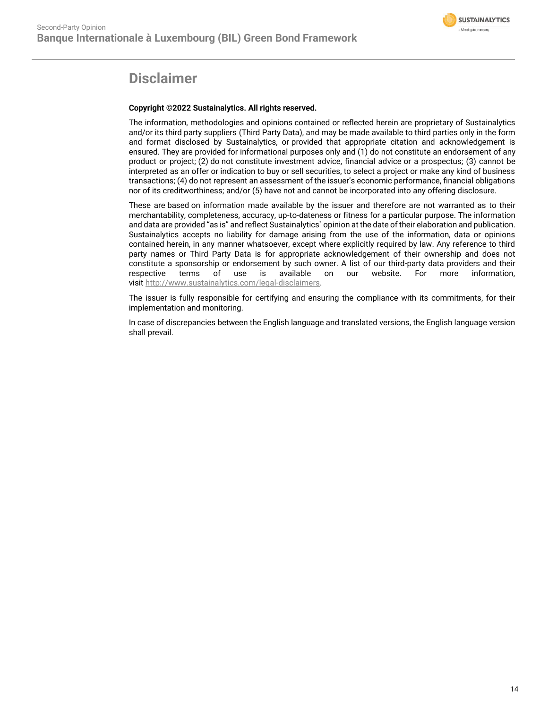

# **Disclaimer**

# **Copyright ©2022 Sustainalytics. All rights reserved.**

The information, methodologies and opinions contained or reflected herein are proprietary of Sustainalytics and/or its third party suppliers (Third Party Data), and may be made available to third parties only in the form and format disclosed by Sustainalytics, or provided that appropriate citation and acknowledgement is ensured. They are provided for informational purposes only and (1) do not constitute an endorsement of any product or project; (2) do not constitute investment advice, financial advice or a prospectus; (3) cannot be interpreted as an offer or indication to buy or sell securities, to select a project or make any kind of business transactions; (4) do not represent an assessment of the issuer's economic performance, financial obligations nor of its creditworthiness; and/or (5) have not and cannot be incorporated into any offering disclosure.

These are based on information made available by the issuer and therefore are not warranted as to their merchantability, completeness, accuracy, up-to-dateness or fitness for a particular purpose. The information and data are provided "as is" and reflect Sustainalytics` opinion at the date of their elaboration and publication. Sustainalytics accepts no liability for damage arising from the use of the information, data or opinions contained herein, in any manner whatsoever, except where explicitly required by law. Any reference to third party names or Third Party Data is for appropriate acknowledgement of their ownership and does not constitute a sponsorship or endorsement by such owner. A list of our third-party data providers and their respective terms of use is available on our website. For more information, visit [http://www.sustainalytics.com/legal-disclaimers.](http://www.sustainalytics.com/legal-disclaimers)

The issuer is fully responsible for certifying and ensuring the compliance with its commitments, for their implementation and monitoring.

In case of discrepancies between the English language and translated versions, the English language version shall prevail.